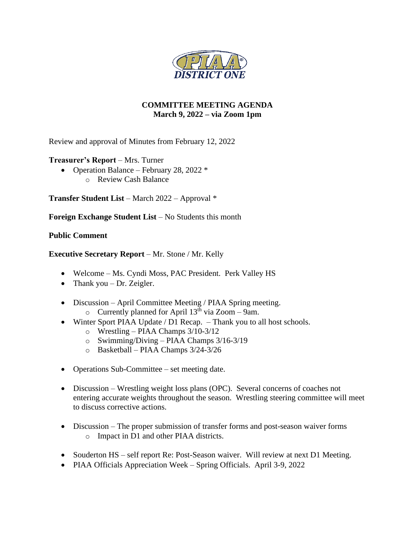

# **COMMITTEE MEETING AGENDA March 9, 2022 – via Zoom 1pm**

Review and approval of Minutes from February 12, 2022

# **Treasurer's Report** – Mrs. Turner

- Operation Balance February 28, 2022  $*$ 
	- o Review Cash Balance

**Transfer Student List** – March 2022 – Approval \*

**Foreign Exchange Student List** – No Students this month

# **Public Comment**

# **Executive Secretary Report** – Mr. Stone / Mr. Kelly

- Welcome Ms. Cyndi Moss, PAC President. Perk Valley HS
- Thank you  $-$  Dr. Zeigler.
- Discussion April Committee Meeting / PIAA Spring meeting.  $\circ$  Currently planned for April 13<sup>th</sup> via Zoom – 9am.
- Winter Sport PIAA Update / D1 Recap. Thank you to all host schools.
	- o Wrestling PIAA Champs 3/10-3/12
	- o Swimming/Diving PIAA Champs 3/16-3/19
	- o Basketball PIAA Champs 3/24-3/26
- Operations Sub-Committee set meeting date.
- Discussion Wrestling weight loss plans (OPC). Several concerns of coaches not entering accurate weights throughout the season. Wrestling steering committee will meet to discuss corrective actions.
- Discussion The proper submission of transfer forms and post-season waiver forms o Impact in D1 and other PIAA districts.
- Souderton HS self report Re: Post-Season waiver. Will review at next D1 Meeting.
- PIAA Officials Appreciation Week Spring Officials. April 3-9, 2022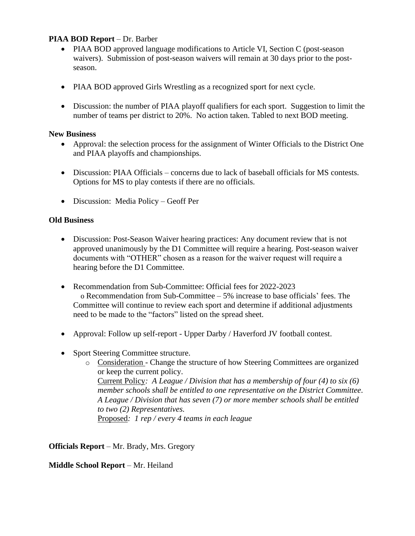# **PIAA BOD Report** – Dr. Barber

- PIAA BOD approved language modifications to Article VI, Section C (post-season waivers). Submission of post-season waivers will remain at 30 days prior to the postseason.
- PIAA BOD approved Girls Wrestling as a recognized sport for next cycle.
- Discussion: the number of PIAA playoff qualifiers for each sport. Suggestion to limit the number of teams per district to 20%. No action taken. Tabled to next BOD meeting.

## **New Business**

- Approval: the selection process for the assignment of Winter Officials to the District One and PIAA playoffs and championships.
- Discussion: PIAA Officials concerns due to lack of baseball officials for MS contests. Options for MS to play contests if there are no officials.
- Discussion: Media Policy Geoff Per

## **Old Business**

- Discussion: Post-Season Waiver hearing practices: Any document review that is not approved unanimously by the D1 Committee will require a hearing. Post-season waiver documents with "OTHER" chosen as a reason for the waiver request will require a hearing before the D1 Committee.
- Recommendation from Sub-Committee: Official fees for 2022-2023 o Recommendation from Sub-Committee – 5% increase to base officials' fees. The Committee will continue to review each sport and determine if additional adjustments need to be made to the "factors" listed on the spread sheet.
- Approval: Follow up self-report Upper Darby / Haverford JV football contest.
- Sport Steering Committee structure.
	- o Consideration Change the structure of how Steering Committees are organized or keep the current policy. Current Policy*: A League / Division that has a membership of four (4) to six (6) member schools shall be entitled to one representative on the District Committee. A League / Division that has seven (7) or more member schools shall be entitled to two (2) Representatives.*  Proposed*: 1 rep / every 4 teams in each league*

**Officials Report** – Mr. Brady, Mrs. Gregory

**Middle School Report** – Mr. Heiland